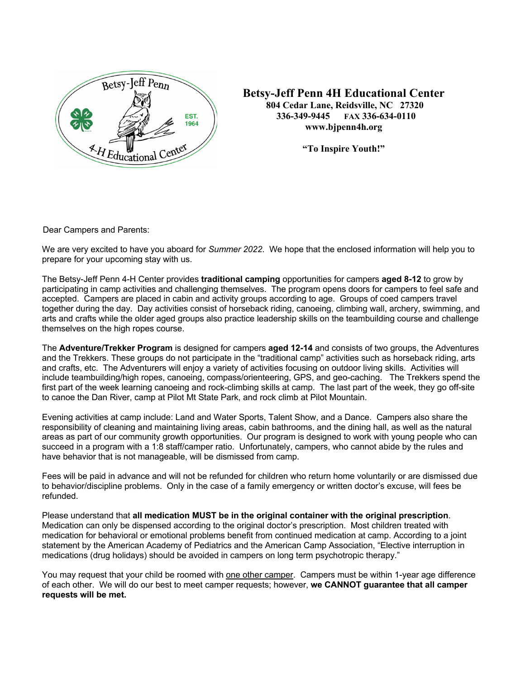

**Betsy-Jeff Penn 4H Educational Center 804 Cedar Lane, Reidsville, NC 27320 336-349-9445 FAX 336-634-0110 www.bjpenn4h.org** 

**"To Inspire Youth!"**

Dear Campers and Parents:

We are very excited to have you aboard for *Summer 2022*. We hope that the enclosed information will help you to prepare for your upcoming stay with us.

The Betsy-Jeff Penn 4-H Center provides **traditional camping** opportunities for campers **aged 8-12** to grow by participating in camp activities and challenging themselves. The program opens doors for campers to feel safe and accepted. Campers are placed in cabin and activity groups according to age. Groups of coed campers travel together during the day. Day activities consist of horseback riding, canoeing, climbing wall, archery, swimming, and arts and crafts while the older aged groups also practice leadership skills on the teambuilding course and challenge themselves on the high ropes course.

The **Adventure/Trekker Program** is designed for campers **aged 12-14** and consists of two groups, the Adventures and the Trekkers. These groups do not participate in the "traditional camp" activities such as horseback riding, arts and crafts, etc. The Adventurers will enjoy a variety of activities focusing on outdoor living skills. Activities will include teambuilding/high ropes, canoeing, compass/orienteering, GPS, and geo-caching. The Trekkers spend the first part of the week learning canoeing and rock-climbing skills at camp. The last part of the week, they go off-site to canoe the Dan River, camp at Pilot Mt State Park, and rock climb at Pilot Mountain.

Evening activities at camp include: Land and Water Sports, Talent Show, and a Dance. Campers also share the responsibility of cleaning and maintaining living areas, cabin bathrooms, and the dining hall, as well as the natural areas as part of our community growth opportunities. Our program is designed to work with young people who can succeed in a program with a 1:8 staff/camper ratio. Unfortunately, campers, who cannot abide by the rules and have behavior that is not manageable, will be dismissed from camp.

Fees will be paid in advance and will not be refunded for children who return home voluntarily or are dismissed due to behavior/discipline problems. Only in the case of a family emergency or written doctor's excuse, will fees be refunded.

Please understand that **all medication MUST be in the original container with the original prescription**. Medication can only be dispensed according to the original doctor's prescription. Most children treated with medication for behavioral or emotional problems benefit from continued medication at camp. According to a joint statement by the American Academy of Pediatrics and the American Camp Association, "Elective interruption in medications (drug holidays) should be avoided in campers on long term psychotropic therapy."

You may request that your child be roomed with one other camper. Campers must be within 1-year age difference of each other. We will do our best to meet camper requests; however, **we CANNOT guarantee that all camper requests will be met.**